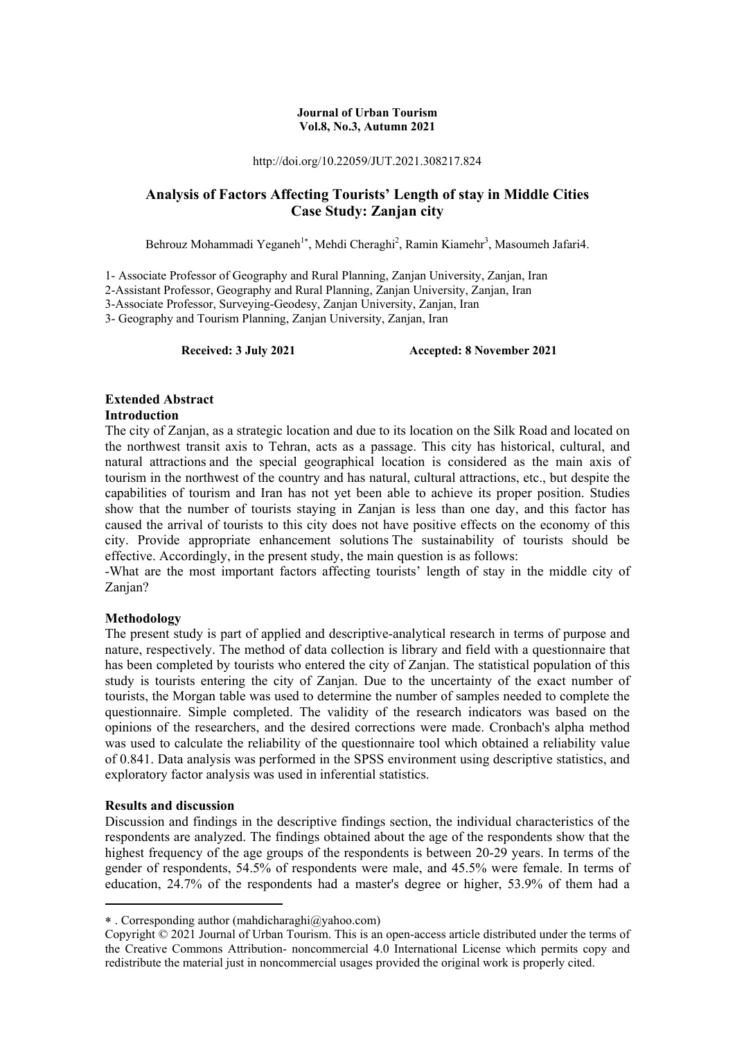#### **Journal of Urban Tourism Vol.8, No.3, Autumn 2021**

http://doi.org/10.22059/JUT.2021.308217.824

# **Analysis of Factors Affecting Tourists' Length of stay in Middle Cities Case Study: Zanjan city**

Behrouz Mohammadi Yeganeh<sup>1\*</sup>, Mehdi Cheraghi<sup>2</sup>, Ramin Kiamehr<sup>3</sup>, Masoumeh Jafari4.

1- Associate Professor of Geography and Rural Planning, Zanjan University, Zanjan, Iran

2-Assistant Professor, Geography and Rural Planning, Zanjan University, Zanjan, Iran

3-Associate Professor, Surveying-Geodesy, Zanjan University, Zanjan, Iran

3- Geography and Tourism Planning, Zanjan University, Zanjan, Iran

**Received: 3 July 2021 Accepted: 8 November 2021** 

# **Extended Abstract**

#### **Introduction**

The city of Zanjan, as a strategic location and due to its location on the Silk Road and located on the northwest transit axis to Tehran, acts as a passage. This city has historical, cultural, and natural attractions and the special geographical location is considered as the main axis of tourism in the northwest of the country and has natural, cultural attractions, etc., but despite the capabilities of tourism and Iran has not yet been able to achieve its proper position. Studies show that the number of tourists staying in Zanjan is less than one day, and this factor has caused the arrival of tourists to this city does not have positive effects on the economy of this city. Provide appropriate enhancement solutions The sustainability of tourists should be effective. Accordingly, in the present study, the main question is as follows:

-What are the most important factors affecting tourists' length of stay in the middle city of Zanjan?

#### **Methodology**

The present study is part of applied and descriptive-analytical research in terms of purpose and nature, respectively. The method of data collection is library and field with a questionnaire that has been completed by tourists who entered the city of Zanjan. The statistical population of this study is tourists entering the city of Zanjan. Due to the uncertainty of the exact number of tourists, the Morgan table was used to determine the number of samples needed to complete the questionnaire. Simple completed. The validity of the research indicators was based on the opinions of the researchers, and the desired corrections were made. Cronbach's alpha method was used to calculate the reliability of the questionnaire tool which obtained a reliability value of 0.841. Data analysis was performed in the SPSS environment using descriptive statistics, and exploratory factor analysis was used in inferential statistics.

#### **Results and discussion**

1

Discussion and findings in the descriptive findings section, the individual characteristics of the respondents are analyzed. The findings obtained about the age of the respondents show that the highest frequency of the age groups of the respondents is between 20-29 years. In terms of the gender of respondents, 54.5% of respondents were male, and 45.5% were female. In terms of education, 24.7% of the respondents had a master's degree or higher, 53.9% of them had a

 <sup>.</sup> Corresponding author (mahdicharaghi@yahoo.com)

Copyright © 2021 Journal of Urban Tourism. This is an open-access article distributed under the terms of the Creative Commons Attribution- noncommercial 4.0 International License which permits copy and redistribute the material just in noncommercial usages provided the original work is properly cited.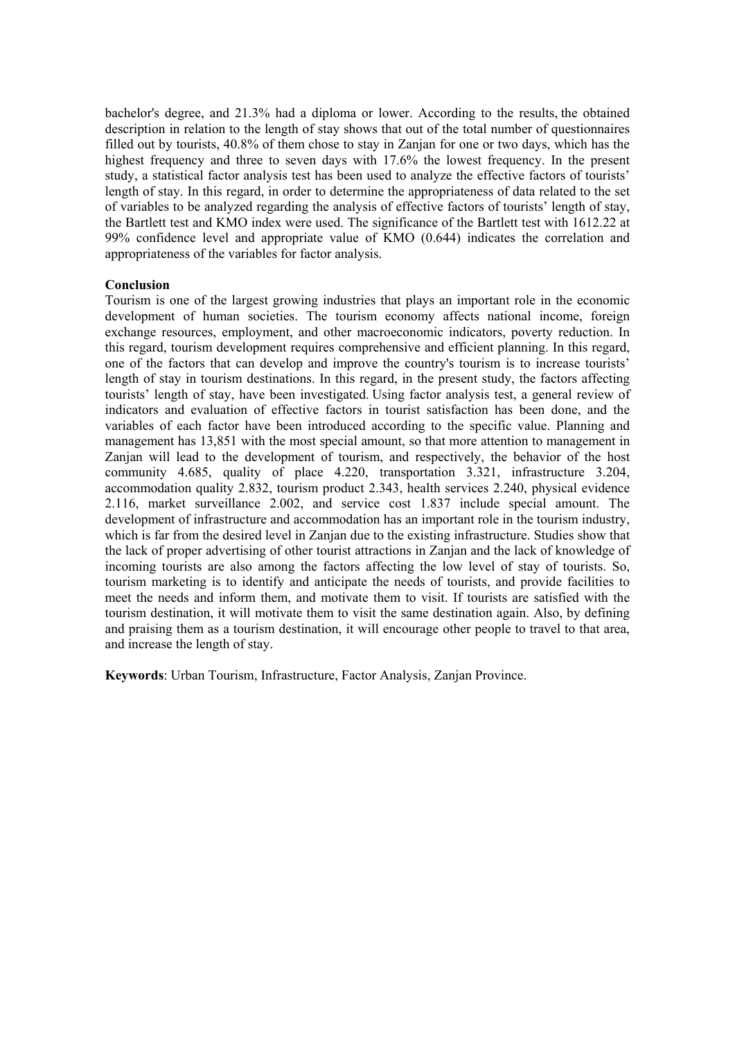bachelor's degree, and 21.3% had a diploma or lower. According to the results, the obtained description in relation to the length of stay shows that out of the total number of questionnaires filled out by tourists, 40.8% of them chose to stay in Zanjan for one or two days, which has the highest frequency and three to seven days with 17.6% the lowest frequency. In the present study, a statistical factor analysis test has been used to analyze the effective factors of tourists' length of stay. In this regard, in order to determine the appropriateness of data related to the set of variables to be analyzed regarding the analysis of effective factors of tourists' length of stay, the Bartlett test and KMO index were used. The significance of the Bartlett test with 1612.22 at 99% confidence level and appropriate value of KMO (0.644) indicates the correlation and appropriateness of the variables for factor analysis.

#### **Conclusion**

Tourism is one of the largest growing industries that plays an important role in the economic development of human societies. The tourism economy affects national income, foreign exchange resources, employment, and other macroeconomic indicators, poverty reduction. In this regard, tourism development requires comprehensive and efficient planning. In this regard, one of the factors that can develop and improve the country's tourism is to increase tourists' length of stay in tourism destinations. In this regard, in the present study, the factors affecting tourists' length of stay, have been investigated. Using factor analysis test, a general review of indicators and evaluation of effective factors in tourist satisfaction has been done, and the variables of each factor have been introduced according to the specific value. Planning and management has 13,851 with the most special amount, so that more attention to management in Zanjan will lead to the development of tourism, and respectively, the behavior of the host community 4.685, quality of place 4.220, transportation 3.321, infrastructure 3.204, accommodation quality 2.832, tourism product 2.343, health services 2.240, physical evidence 2.116, market surveillance 2.002, and service cost 1.837 include special amount. The development of infrastructure and accommodation has an important role in the tourism industry, which is far from the desired level in Zanjan due to the existing infrastructure. Studies show that the lack of proper advertising of other tourist attractions in Zanjan and the lack of knowledge of incoming tourists are also among the factors affecting the low level of stay of tourists. So, tourism marketing is to identify and anticipate the needs of tourists, and provide facilities to meet the needs and inform them, and motivate them to visit. If tourists are satisfied with the tourism destination, it will motivate them to visit the same destination again. Also, by defining and praising them as a tourism destination, it will encourage other people to travel to that area, and increase the length of stay.

**Keywords**: Urban Tourism, Infrastructure, Factor Analysis, Zanjan Province.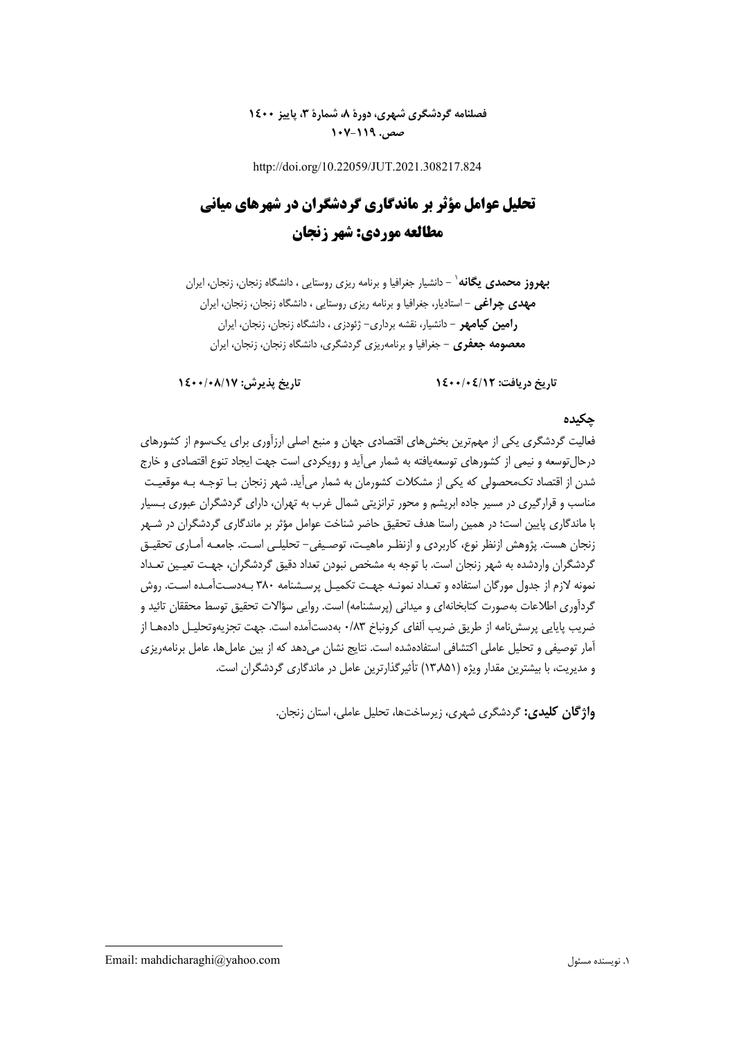# **فصلنامه گردشگري شهري، دورة ،8 شمارة ،3 پاييز 1400 صص. -119 107**

http://doi.org/10.22059/JUT.2021.308217.824

# **تحليل عوامل مؤثر بر ماندگاري گردشگران در شهرهاي مياني مطالعه موردي: شهر زنجان**

- دانشيار جغرافيا و برنامه ريزي روستايي ، دانشگاه زنجان، زنجان، ايران <sup>1</sup> **بهروز محمدي يگانه مهدي چراغي** - استاديار، جغرافيا و برنامه ريزي روستايي ، دانشگاه زنجان، زنجان، ايران **رامين كيامهر** - دانشيار، نقشه برداري- ژئودزي ، دانشگاه زنجان، زنجان، ايران **معصومه جعفري** - جغرافيا و برنامهريزي گردشگري، دانشگاه زنجان، زنجان، ايران

**تاريخ دريافت: 1400/04/12 تاريخ پذيرش: 1400/08/17** 

#### **چكيده**

فعاليت گردشگري يكي از مهمترين بخشهاي اقتصادي جهان و منبع اصلي ارزآوري براي يكسوم از كشورهاي درحالتوسعه و نيمي از كشورهاي توسعهيافته به شمار ميآيد و رويكردي است جهت ايجاد تنوع اقتصادي و خارج شدن از اقتصاد تكمحصولي كه يكي از مشكلات كشورمان به شمار ميآيد. شهر زنجان بـا توجـه بـه موقعيـت مناسب و قرارگيري در مسير جاده ابريشم و محور ترانزيتي شمال غرب به تهران، داراي گردشگران عبوري بـسيار با ماندگاري پايين است؛ در همين راستا هدف تحقيق حاضر شناخت عوامل مؤثر بر ماندگاري گردشگران در شـهر زنجان هست. پژوهش ازنظر نوع، كاربردي و ازنظـر ماهيـت، توصـيفي - تحليلـي اسـت. جامعـه آمـاري تحقيـق گردشگران واردشده به شهر زنجان است. با توجه به مشخص نبودن تعداد دقيق گردشگران، جهـت تعيـين تعـداد نمونه لازم از جدول مورگان استفاده و تعـداد نمونـه جهـت تكميـل پرسـشنامه 380 بـهدسـتآمـده اسـت. روش گردآوري اطلاعات بهصورت كتابخانهاي و ميداني (پرسشنامه) است. روايي سؤالات تحقيق توسط محققان تائيد و ضريب پايايي پرسشنامه از طريق ضريب آلفاي كرونباخ ٠/٨٣ بهدستآمده است. جهت تجزيهوتحليـل دادههـا از آمار توصيفي و تحليل عاملي اكتشافي استفادهشده است. نتايج نشان مي دهد كه از بين عامل ها، عامل برنامهريزي و مديريت، با بيشترين مقدار ويژه (13,851) تأثيرگذارترين عامل در ماندگاري گردشگران است.

**واژگان كليدي:** گردشگري شهري، زيرساختها، تحليل عاملي، استان زنجان.

Email: mahdicharaghi@yahoo.com مسئول نويسنده .1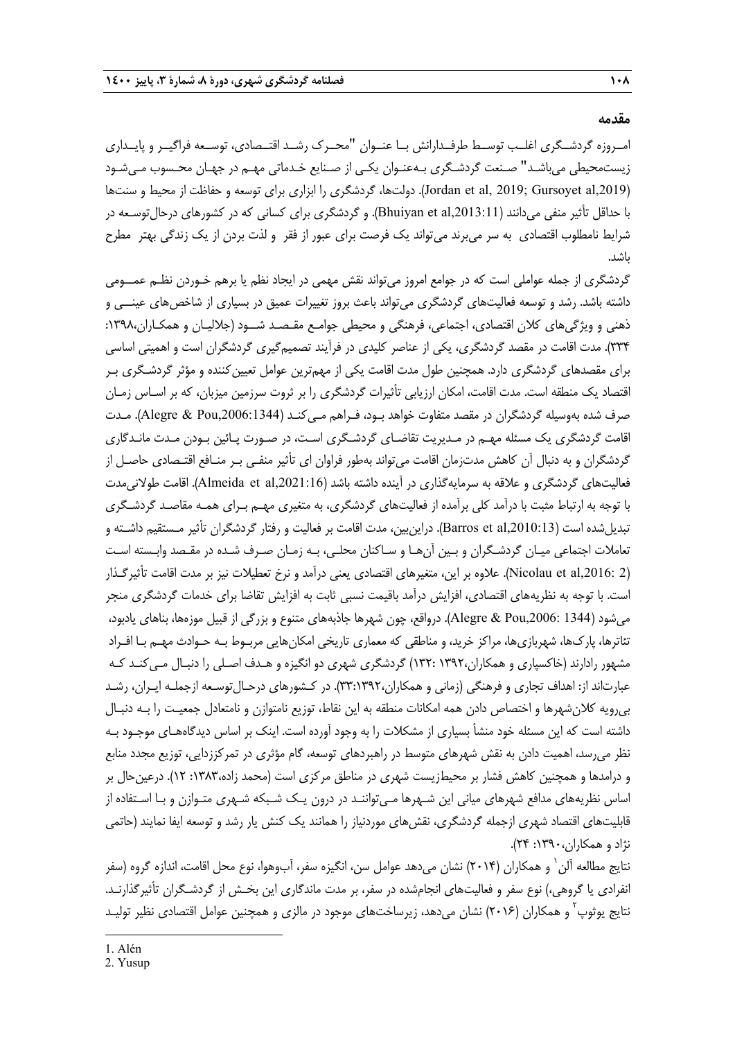#### **مقدمه**

امــروزه گردشــگري اغلــب توســط طرفــدارانش بــا عنــوان "محــرك رشــد اقتــصادي، توســعه فراگيــر و پايــداري زيستمحيطي ميباشـد" صـنعت گردشـگري بـهعنـوان يكـي از صـنايع خـدماتي مهـم در جهـان محـسوب مـيشـود (Jordan et al, 2019; Gursoyet al,2019). دولتها، گردشگري را ابزاري براي توسعه و حفاظت از محيط و سنتها با حداقل تأثير منفي ميدانند (,Bhuiyan et al,2013:11). و گردشگري براي كساني كه در كشورهاي درحال توسـعه در شرايط نامطلوب اقتصادي به سر ميبرند ميتواند يك فرصت براي عبور از فقر و لذت بردن از يك زندگي بهتر مطرح باشد.

گردشگري از جمله عواملي است كه در جوامع امروز ميتواند نقش مهمي در ايجاد نظم يا برهم خـوردن نظـم عمــومي داشته باشد. رشد و توسعه فعاليتهاي گردشگري ميتواند باعث بروز تغييرات عميق در بسياري از شاخصهاي عينــي و ذهني و ويژگيهاي كلان اقتصادي، اجتماعي، فرهنگي و محيطي جوامـع مقـصـد شــود (جلاليـان و همكـاران:1398، 334). مدت اقامت در مقصد گردشگري، يكي از عناصر كليدي در فرآيند تصميمگيري گردشگران است و اهميتي اساسي براي مقصدهاي گردشگري دارد. همچنين طول مدت اقامت يكي از مهمترين عوامل تعيينكننده و مؤثر گردشـگري بـر اقتصاد يك منطقه است. مدت اقامت، امكان ارزيابي تأثيرات گردشگري را بر ثروت سرزمين ميزبان، كه بر اسـاس زمـان صرف شده بهوسيله گردشگران در مقصد متفاوت خواهد بـود، فـراهم مـيكنـد (,2006:1344Pou & Alegre(. مـدت اقامت گردشگري يك مسئله مهـم در مـديريت تقاضـاي گردشـگري اسـت، در صـورت پـائين بـودن مـدت مانـدگاري گردشگران و به دنبال آن كاهش مدتزمان اقامت ميتواند بهطور فراوان اي تأثير منفـي بـر منـافع اقتـصادي حاصـل از فعاليتهاي گردشگري و علاقه به سرمايهگذاري در آينده داشته باشد (Almeida et al,2021:16). اقامت طولاني مدت با توجه به ارتباط مثبت با درآمد كلي برآمده از فعاليتهاي گردشگري، به متغيري مهـم بـراي همـه مقاصـد گردشـگري تبديلشده است (Barros et al,2010:13). دراينبين، مدت اقامت بر فعاليت و رفتار گردشگران تأثير مـستقيم داشـته و تعاملات اجتماعي ميـان گردشـگران و بـين آن هـا و سـاكنان محلـي، بـه زمـان صـرف شـده در مقـصد وابـسته اسـت (2 ,2016:al et Nicolau(. علاوه بر اين، متغيرهاي اقتصادي يعني درآمد و نرخ تعطيلات نيز بر مدت اقامت تأثيرگـذار است. با توجه به نظريههاي اقتصادي، افزايش درآمد باقيمت نسبي ثابت به افزايش تقاضا براي خدمات گردشگري منجر ميشود (1344 ,2006:Pou & Alegre(. درواقع، چون شهرها جاذبههاي متنوع و بزرگي از قبيل موزهها، بناهاي يادبود، تئاترها، پاركها، شهربازيها، مراكز خريد، و مناطقي كه معماري تاريخي امكانهايي مربـوط بـه حـوادث مهـم بـا افـراد مشهور رادارند (خاكسپاري و همكاران1392، 132:) گردشگري شهري دو انگيزه و هـدف اصـلي را دنبـال مـيكنـد كـه عبارتاند از: اهداف تجاري و فرهنگي (زماني و همكاران،٣٣:١٣٩٢). در كـشورهاي درحـال¤وسـعه ازجملـه ايـران، رشـد بيرويه كلانشهرها و اختصاص دادن همه امكانات منطقه به اين نقاط، توزيع نامتوازن و نامتعادل جمعيـت را بـه دنبـال داشته است كه اين مسئله خود منشأ بسياري از مشكلات را به وجود آورده است. اينك بر اساس ديدگاههـاي موجـود بـه نظر ميرسد، اهميت دادن به نقش شهرهاي متوسط در راهبردهاي توسعه، گام مؤثري در تمركززدايي، توزيع مجدد منابع و درامدها و همچنين كاهش فشار بر محيطزيست شهري در مناطق مركزي است (محمد زاده:1383، 12). درعينحال بر اساس نظريههاي مدافع شهرهاي مياني اين شـهرها مـيتواننـد در درون يـك شـبكه شـهري متـوازن و بـا اسـتفاده از قابليتهاي اقتصاد شهري ازجمله گردشگري، نقشهاي موردنياز را همانند يك كنش يار رشد و توسعه ايفا نمايند (حاتمي نژاد و همكاران:1390، 24).

نتايج مطالعه آلن` و همكاران (٢٠١۴) نشان ميدهد عوامل سن، انگيزه سفر، آبوهوا، نوع محل اقامت، اندازه گروه (سفر انفرادي يا گروهي،) نوع سفر و فعاليتهاي انجامشده در سفر، بر مدت ماندگاري اين بخـش از گردشـگران تأثيرگذارنـد . نتايج يوثوپ<sup>۲</sup> و همكاران (۲۰۱۶) نشان مىدهد، زيرساختهاى موجود در مالزى و همچنين عوامل اقتصادى نظير توليـد

1. Alén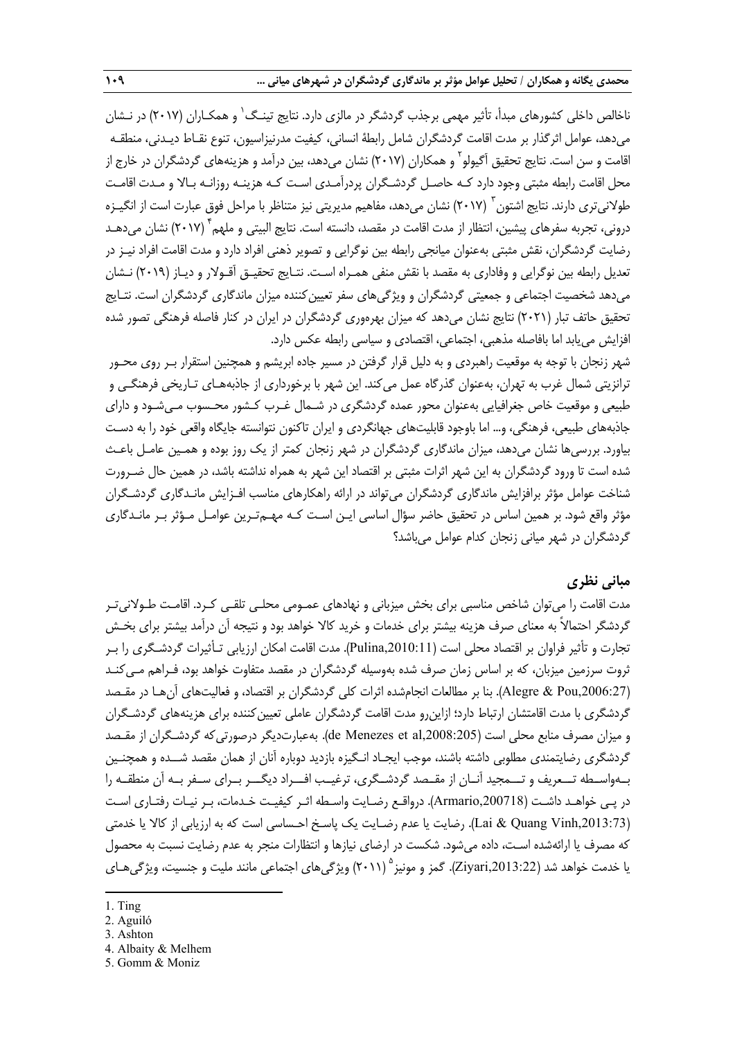ناخالص داخلي كشورهاي مبدأ، تأثير مهمي برجذب گردشگر در مالزي دارد. نتايج تينـگ' و همكـاران (٢٠١٧) در نـشان ميدهد، عوامل اثرگذار بر مدت اقامت گردشگران شامل رابطة انساني، كيفيت مدرنيزاسيون، تنوع نقـاط ديـدني، منطقـه اقامت و سن است. نتايج تحقيق آگيولو<sup>۲</sup> و همكاران (۲۰۱۷) نشان مي دهد، بين درآمد و هزينههاي گردشگران در خارج از محل اقامت رابطه مثبتي وجود دارد كـه حاصـل گردشـگران پردرآمـدي اسـت كـه هزينـه روزانـه بـالا و مـدت اقامـت طولانیتری دارند. نتایج اشتون <sup>۳</sup> (۲۰۱۷) نشان میدهد، مفاهیم مدیریتی نیز متناظر با مراحل فوق عبارت است از انگیـزه درونی، تجربه سفرهای پیشین، انتظار از مدت اقامت در مقصد، دانسته است. نتایج البیتی و ملهم<sup>۴</sup> (۲۰۱۷) نشان میدهـد رضايت گردشگران، نقش مثبتي بهعنوان ميانجي رابطه بين نوگرايي و تصوير ذهني افراد دارد و مدت اقامت افراد نيـز در تعديل رابطه بين نوگرايي و وفاداري به مقصد با نقش منفي همـراه اسـت . نتـايج تحقيـق آقـولار و ديـاز (2019) نـشان ميدهد شخصيت اجتماعي و جمعيتي گردشگران و ويژگيهاي سفر تعيينكننده ميزان ماندگاري گردشگران است. نتـايج تحقيق حاتف تبار (2021) نتايج نشان ميدهد كه ميزان بهرهوري گردشگران در ايران در كنار فاصله فرهنگي تصور شده افزايش مييابد اما بافاصله مذهبي، اجتماعي، اقتصادي و سياسي رابطه عكس دارد.

شهر زنجان با توجه به موقعيت راهبردي و به دليل قرار گرفتن در مسير جاده ابريشم و همچنين استقرار بـر روي محـور ترانزيتي شمال غرب به تهران، بهعنوان گذرگاه عمل ميكند. اين شهر با برخورداري از جاذبههـاي تـاريخي فرهنگـي و طبيعي و موقعيت خاص جغرافيايي بهعنوان محور عمده گردشگري در شـمال غـرب كـشور محـسوب مـيشـود و داراي جاذبههاي طبيعي، فرهنگي، و... اما باوجود قابليتهاي جهانگردي و ايران تاكنون نتوانسته جايگاه واقعي خود را به دسـت بياورد. بررسيها نشان ميدهد، ميزان ماندگاري گردشگران در شهر زنجان كمتر از يك روز بوده و همـين عامـل باعـث شده است تا ورود گردشگران به اين شهر اثرات مثبتي بر اقتصاد اين شهر به همراه نداشته باشد، در همين حال ضـرورت شناخت عوامل مؤثر برافزايش ماندگاري گردشگران ميتواند در ارائه راهكارهاي مناسب افـزايش مانـدگاري گردشـگران مؤثر واقع شود. بر همين اساس در تحقيق حاضر سؤال اساسي ايـن اسـت كـه مهـمتـرين عوامـل مـؤثر بـر مانـدگاري گردشگران در شهر مياني زنجان كدام عوامل ميباشد؟

# **مباني نظري**

مدت اقامت را ميتوان شاخص مناسبي براي بخش ميزباني و نهادهاي عمـومي محلـي تلقـي كـرد . اقامـت طـولانيتـر گردشگر احتمالاً به معناي صرف هزينه بيشتر براي خدمات و خريد كالا خواهد بود و نتيجه آن درآمد بيشتر براي بخـش تجارت و تأثير فراوان بر اقتصاد محلي است (,2010:11Pulina(. مدت اقامت امكان ارزيابي تـأثيرات گردشـگري را بـر ثروت سرزمين ميزبان، كه بر اساس زمان صرف شده به وسيله گردشگران در مقصد متفاوت خواهد بود، فـراهم مـي كنـد (Alegre & Pou,2006:27). بنا بر مطالعات انجامشده اثرات كلي گردشگران بر اقتصاد، و فعاليتهاي آنهـا در مقـصد گردشگري با مدت اقامتشان ارتباط دارد؛ ازاينرو مدت اقامت گردشگران عاملي تعيينكننده براي هزينههاي گردشـگران و ميزان مصرف منابع محلي است (108:205 $\rm{de~Menezes~et~al,}$  et Al). بهعبارتديگر درصورتيكه گردشـگران از مقـصد گردشگري رضايتمندي مطلوبي داشته باشند، موجب ايجـاد انـگيزه بازديد دوباره آنان از همان مقصد شــده و همچنـين بــهواســطه تـــعريف و تـــمجيد آنــان از مقــصد گردشــگري، ترغيــب افـــراد ديگـــر بــراي ســفر بــه آن منطقــه را در پـي خواهـد داشـت (,200718Armario(. درواقـع رضـايت واسـطه اثـر كيفيـت خـدمات، بـر نيـات رفتـاري اسـت (Lai & Quang Vinh,2013:73). رضايت يا عدم رضـايت يك پاسـخ احـساسي است كه به ارزيابي از كالا يا خدمتي كه مصرف يا ارائهشده اسـت، داده مي شود. شكست در ارضاي نيازها و انتظارات منجر به عدم رضايت نسبت به محصول يا خدمت خواهد شد (Ziyari,2013:22). گمز و مونيز ° (٢٠١١) ويژگيهاي اجتماعي مانند مليت و جنسيت، ويژگيهـاي

<sup>1.</sup> Ting

<sup>2.</sup> Aguiló

<sup>3.</sup> Ashton

<sup>4.</sup> Albaity & Melhem

<sup>5.</sup> Gomm & Moniz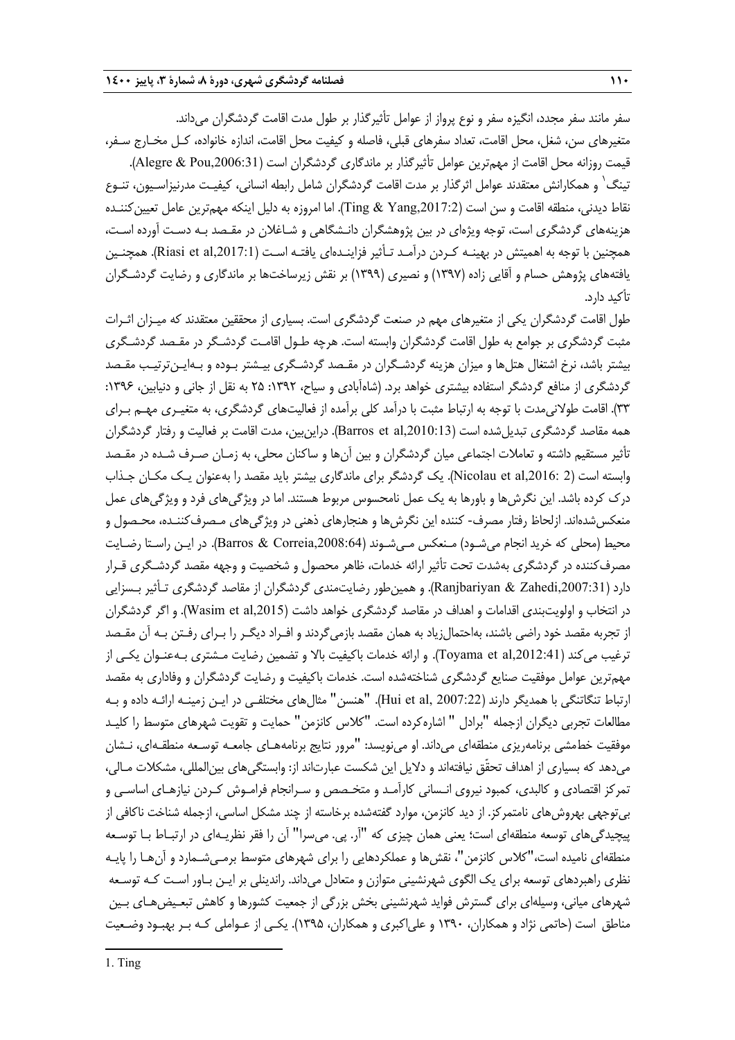سفر مانند سفر مجدد، انگيزه سفر و نوع پرواز از عوامل تأثيرگذار بر طول مدت اقامت گردشگران ميداند. متغيرهاي سن، شغل، محل اقامت، تعداد سفرهاي قبلي، فاصله و كيفيت محل اقامت، اندازه خانواده، كـل مخـارج سـفر، قيمت روزانه محل اقامت از مهمترين عوامل تأثيرگذار بر ماندگاري گردشگران است (Alegre & Pou,2006:31). تينگ<sup>'</sup> و همكارانش معتقدند عوامل اثرگذار بر مدت اقامت گردشگران شامل رابطه انساني، كيفيـت مدرنيزاسـيون، تنـوع نقاط ديدني، منطقه اقامت و سن است (,2017:2Yang & Ting(. اما امروزه به دليل اينكه مهمترين عامل تعيينكننـده هزينههاي گردشگري است، توجه ويژهاي در بين پژوهشگران دانـشگاهي و شـاغلان در مقـصد بـه دسـت آورده اسـت ، همچنين با توجه به اهميتش در بهينـه كـردن درآمـد تـأثير فزاينـدهاي يافتـه اسـت (Riasi et al,2017:1). همچنـين يافتههاي پژوهش حسام و آقايي زاده (1397) و نصيري (1399) بر نقش زيرساختها بر ماندگاري و رضايت گردشـگران تأكيد دارد.

طول اقامت گردشگران يكي از متغيرهاي مهم در صنعت گردشگري است . بسياري از محققين معتقدند كه ميـزان اثـرات مثبت گردشگري بر جوامع به طول اقامت گردشگران وابسته است . هرچه طـول اقامـت گردشـگر در مقـصد گردشـگري بيشتر باشد، نرخ اشتغال هتلها و ميزان هزينه گردشـگران در مقـصد گردشـگري بيـشتر بـوده و بـه ايـنترتيـب مقـصد گردشگري از منافع گردشگر استفاده بيشتري خواهد برد. (شاهآبادي و سياح، ١٣٩٢: ٢۵ به نقل از جاني و دنيابين، ١٣٩۶: 33). اقامت طولانيمدت با توجه به ارتباط مثبت با درآمد كلي برآمده از فعاليتهاي گردشگري، به متغيـري مهـم بـراي همه مقاصد گردشگري تبديل شده است (Barros et al,2010:13). دراين بين، مدت اقامت بر فعاليت و رفتار گردشگران تأثير مستقيم داشته و تعاملات اجتماعي ميان گردشگران و بين آن ها و ساكنان محلي، به زمـان صـرف شـده در مقـصد وابسته است (2 :Nicolau et al,2016). يك گردشگر براي ماندگاري بيشتر بايد مقصد را بهعنوان يـك مكـان جـذاب درك كرده باشد. اين نگرشها و باورها به يك عمل نامحسوس مربوط هستند. اما در ويژگيهاي فرد و ويژگيهاي عمل منعكسشدهاند. ازلحاظ رفتار مصرف- كننده اين نگرشها و هنجارهاي ذهني در ويژگيهاي مـصرفكننـده، محـصول و محيط (محلي كه خريد انجام ميشـود) مـنعكس مـيشـوند (,2008:64Correia & Barros(. در ايـن راسـتا رضـايت مصرفكننده در گردشگري بهشدت تحت تأثير ارائه خدمات، ظاهر محصول و شخصيت و وجهه مقصد گردشـ گري قـرار دارد (Ranjbariyan & Zahedi,2007:31). و همين طور رضايتمندي گردشگران از مقاصد گردشگري تـأثير بـسزايي در انتخاب و اولويتبندي اقدامات و اهداف در مقاصد گردشگري خواهد داشت (,2015al et Wasim(. و اگر گردشگران از تجربه مقصد خود راضي باشند، بهاحتمال;ياد به همان مقصد بازميگردند و افـراد ديگـر را بـراي رفـتن بـه آن مقـصد ترغيب مي كند (Toyama et al,2012:41). و ارائه خدمات باكيفيت بالا و تضمين رضايت مـشتري بـهعنـوان يكـي از مهمترين عوامل موفقيت صنايع گردشگري شناختهشده است. خدمات باكيفيت و رضايت گردشگران و وفاداري به مقصد ارتباط تنگاتنگي با همديگر دارند (2007:22), "هنسن" مثالهاي مختلفـي در ايـن زمينـه ارائـه داده و بـه مطالعات تجربي ديگران ازجمله "برادل " اشارهكرده است. "كلاس كانزمن" حمايت و تقويت شهرهاي متوسط را كليـد موفقيت خطمشي برنامهريزي منطقهاي ميداند. او مينويسد: "مرور نتايج برنامههـاي جامعـه توسـعه منطقـهاي، نـشان ميدهد كه بسياري از اهداف تحقّق نيافتهاند و دلايل اين شكست عبارتاند از: وابستگيهاي بينالمللي، مشكلات مـالي، تمركز اقتصادي و كالبدي، كمبود نيروي انـساني كارآمـد و متخـصص و سـرانجام فرامـوش كـردن نيازهـاي اساسـي و بيتوجهي بهروشهاي نامتمركز. از ديد كانزمن، موارد گفتهشده برخاسته از چند مشكل اساسي، ازجمله شناخت ناكافي از پيچيدگيهاي توسعه منطقهاي است؛ يعني همان چيزي كه "آر. پي. ميسرا" آن را فقر نظريـهاي در ارتبـاط بـا توسـعه منطقهاي ناميده است،"كلاس كانزمن"، نقشها و عملكردهايي را براي شهرهاي متوسط برمـيشـمارد و آنهـا را پايـه نظري راهبردهاي توسعه براي يك الگوي شهرنشيني متوازن و متعادل ميداند. راندينلي بر ايـن بـاور اسـت كـه توسـعه شهرهاي مياني، وسيلهاي براي گسترش فوايد شهرنشيني بخش بزرگي از جمعيت كشورها و كاهش تبعـيضهـاي بـين مناطق است (حاتمي نژاد و همكاران، 1390 و علياكبري و همكاران، 1395). يكـي از عـواملي كـه بـر بهبـود وضـعيت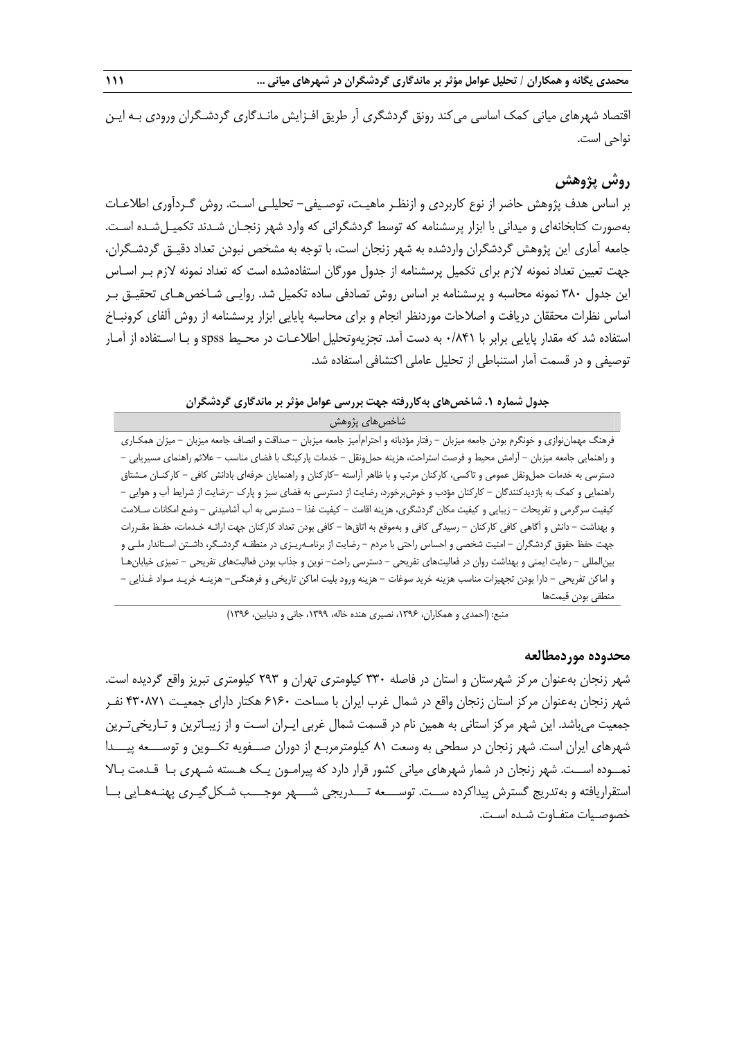اقتصاد شهرهاي مياني كمك اساسي ميكند رونق گردشگري آر طريق افـزايش مانـدگاري گردشـگران ورودي بـه ايـن نواحي است.

# **روش پژوهش**

بر اساس هدف پژوهش حاضر از نوع كاربردي و ازنظـر ماهيـت، توصـيفي- تحليلـي اسـت. روش گـردآوري اطلاعـات بهصورت كتابخانهاي و ميداني با ابزار پرسشنامه كه توسط گردشگراني كه وارد شهر زنجـان شـدند تكم يـلشـده اسـت. جامعه آماري اين پژوهش گردشگران واردشده به شهر زنجان است، با توجه به مشخص نبودن تعداد دقيـق گردشـگران، جهت تعيين تعداد نمونه لازم براي تكميل پرسشنامه از جدول مورگان استفاده شده است كه تعداد نمونه لازم بـر اسـاس اين جدول 380 نمونه محاسبه و پرسشنامه بر اساس روش تصادفي ساده تكميل شد. روايـي شـاخصهـاي تحقيـق بـر اساس نظرات محققان دريافت و اصلاحات موردنظر انجام و براي محاسبه پايايي ابزار پرسشنامه از روش آلفاي كرونبـاخ استفاده شد كه مقدار پايايي برابر با 0/841 به دست آمد. تجزيهوتحليل اطلاعـات در محـيط spss و بـا اسـتفاده از آمـار توصيفي و در قسمت آمار استنباطي از تحليل عاملي اكتشافي استفاده شد.

#### **جدول شماره .1 شاخصهاي بهكاررفته جهت بررسي عوامل مؤثر بر ماندگاري گردشگران**

#### شاخصهاي پژوهش

فرهنگ مهماننوازي و خونگرم بودن جامعه ميزبان - رفتار مؤدبانه و احترامآميز جامعه ميزبان - صداقت و انصاف جامعه ميزبان - ميزان همكـاري و راهنمايي جامعه ميزبان - آرامش محيط و فرصت استراحت، هزينه حملونقل - خدمات پاركينگ با فضاي مناسب - علائم راهنماي مسيريابي - دسترسي به خدمات حملونقل عمومي و تاكسي، كاركنان مرتب و با ظاهر آراسته -كاركنان و راهنمايان حرفهاي بادانش كافي - كاركنـان مـشتاق راهنمايي و كمك به بازديدكنندگان - كاركنان مؤدب و خوشبرخورد، رضايت از دسترسي به فضاي سبز و پارك -رضايت از شرايط آب و هوايي - كيفيت سرگرمي و تفريحات - زيبايي و كيفيت مكان گردشگري، هزينه اقامت - كيفيت غذا - دسترسي به آب آشاميدني - وضع امكانات سـلامت و بهداشت - دانش و آگاهي كافي كاركنان - رسيدگي كافي و بهموقع به اتاقها - كافي بودن تعداد كاركنان جهت ارائـه خـدمات، حفـظ مقـررات جهت حفظ حقوق گردشگران - امنيت شخصي و احساس راحتي با مردم - رضايت از برنامـهريـزي در منطقـه گردشـگر، داشـتن اسـتاندار ملـي و بينالمللي - رعايت ايمني و بهداشت روان در فعاليتهاي تفريحي - دسترسي راحت- نوين و جذاب بودن فعاليتهاي تفريحي - تميزي خيابانهـا و اماكن تفريحي - دارا بودن تجهيزات مناسب هزينه خريد سوغات - هزينه ورود بليت اماكن تاريخي و فرهنگـي- هزينـه خريـد مـواد غـذايي - منطقي بودن قيمتها

منبع: (احمدي و همكاران، ١٣٩۶، نصيري هنده خاله، ١٣٩٩، جاني و دنيابين، ١٣٩۶)

#### **محدوده موردمطالعه**

شهر زنجان بهعنوان مركز شهرستان و استان در فاصله 330 كيلومتري تهران و 293 كيلومتري تبريز واقع گرديده است. شهر زنجان بهعنوان مركز استان زنجان واقع در شمال غرب ايران با مساحت 6160 هكتار داراي جمعيـت 430871 نفـر جمعيت ميباشد. اين شهر مركز استاني به همين نام در قسمت شمال غربي ايـران اسـت و از زيبـاترين و تـاريخيتـرين شهرهاي ايران است. شهر زنجان در سطحي به وسعت 81 كيلومترمربـع از دوران صــفويه تكــوين و توســـعه پيـــدا نمــوده اســت. شهر زنجان در شمار شهرهاي مياني كشور قرار دارد كه پيرامـون يـك هـسته شـهري بـا قـدمت بـالا استقراريافته و بهتدريج گسترش پيداكرده ســت. توســـعه تـــدريجي شـــهر موجـــب شـكلگيـري پهنـههـايي بــا خصوصـيات متفـاوت شـده اسـت.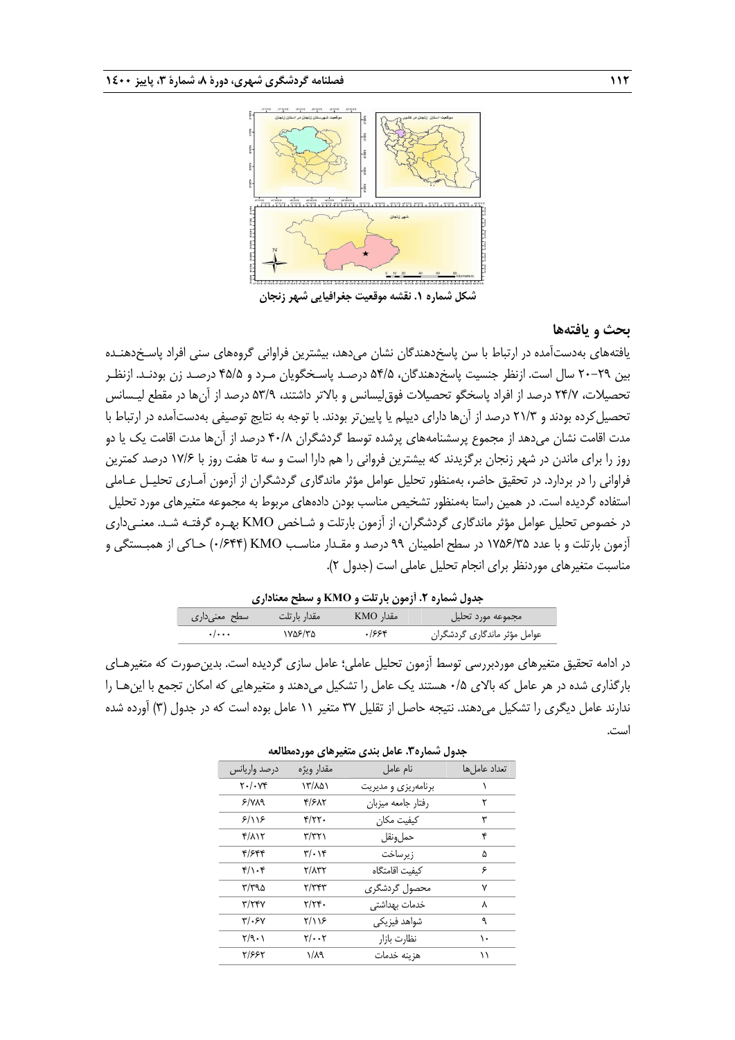

# **بحث و يافتهها**

يافتههاي بهدستآمده در ارتباط با سن پاسخدهندگان نشان ميدهد، بيشترين فراواني گروههاي سني افراد پاسـخدهنـده بين 20-29 سال است. ازنظر جنسيت پاسخدهندگان، 54/5 درصـد پاسـخگويان مـرد و 45/5 درصـد زن بودنـد. ازنظـر تحصيلات، 24/7 درصد از افراد پاسخگو تحصيلات فوقليسانس و بالاتر داشتند، 53/9 درصد از آنها در مقطع ليـسانس تحصيل كرده بودند و ٢١/٣ درصد از آنها داراي ديپلم يا پايينتر بودند. با توجه به نتايج توصيفي بهدستآمده در ارتباط با مدت اقامت نشان ميدهد از مجموع پرسشنامههاي پرشده توسط گردشگران 40/8 درصد از آنها مدت اقامت يك يا دو روز را براي ماندن در شهر زنجان برگزيدند كه بيشترين فرواني را هم دارا است و سه تا هفت روز با 17/6 درصد كمترين فراواني را در بردارد. در تحقيق حاضر، بهمنظور تحليل عوامل مؤثر ماندگاري گردشگران از آزمون آمـاري تحليـل عـاملي استفاده گرديده است. در همين راستا بهمنظور تشخيص مناسب بودن دادههاي مربوط به مجموعه متغيرهاي مورد تحليل در خصوص تحليل عوامل مؤثر ماندگاري گردشگران، از آزمون بارتلت و شـاخص KMO بهـره گرفتـه شـد. معنـيداري آزمون بارتلت و با عدد 1756/35 در سطح اطمينان 99 درصد و مقـدار مناسـب KMO) 0/644 (حـاكي از همبـستگي و مناسبت متغيرهاي موردنظر براي انجام تحليل عاملي است (جدول 2).

#### **جدول شماره .2 آزمون بارتلت و KMO و سطح معناداري**

| سطح معنیداری              | مقدار بارتلت | مقدار KMO | مجموعه مورد تحليل            |
|---------------------------|--------------|-----------|------------------------------|
| $\cdot$ / $\cdot$ $\cdot$ | ۱۷۵۶/۳۵      | ۶۶۴.      | عوامل مؤثر ماندگاری گردشگران |
|                           |              |           |                              |

در ادامه تحقيق متغيرهاي موردبررسي توسط آزمون تحليل عاملي؛ عامل سازي گرديده است. بدينصورت كه متغيرهـاي بارگذاري شده در هر عامل كه بالاي 0/5 هستند يك عامل را تشكيل ميدهند و متغيرهايي كه امكان تجمع با اينهـا را ندارند عامل ديگري را تشكيل ميدهند. نتيجه حاصل از تقليل 37 متغير 11 عامل بوده است كه در جدول (3) آورده شده است.

| درصد واريانس            | مقدار ويژه                    | نام عامل            | تعداد عاما ,ها |
|-------------------------|-------------------------------|---------------------|----------------|
| $Y \cdot / \cdot Yf$    | ۱۳/۸۵۱                        | برنامهريزي و مديريت |                |
| $5/\gamma\lambda$ 9     | ۴/۶۸۲                         | رفتار جامعه ميزبان  | ٢              |
| 8/18                    | $f/\gamma\gamma.$             | كىفىت مكان          | ٣              |
| $f/\lambda$             | ۳/۳۲۱                         | حملونقل             | ۴              |
| ۴/۶۴۴                   | $\mathbf{r}/\cdot \mathbf{r}$ | زيرساخت             | ۵              |
| $f/\rightarrow f$       | $Y/\Lambda YY$                | كىفىت اقامتگاه      | ۶              |
| ۳/۳۹۵                   | ۳/۳۴۳                         | محصول گردشگری       | ٧              |
| $\mathbf{y}/\mathbf{y}$ | $Y/YY$ .                      | خدمات بهداشتی       | ٨              |
| $\frac{1}{2}$           | ۲/۱۱۶                         | شواهد فیزیکی        | ٩              |
| Y/9.1                   | $Y/\cdot \cdot Y$             | نظارت بازار         | ١.             |
| ٢/۶۶۲                   | $1/\lambda$ 9                 | هزينه خدمات         | ۱۱             |

**جدول شماره.3 عامل بندي متغيرهاي موردمطالعه**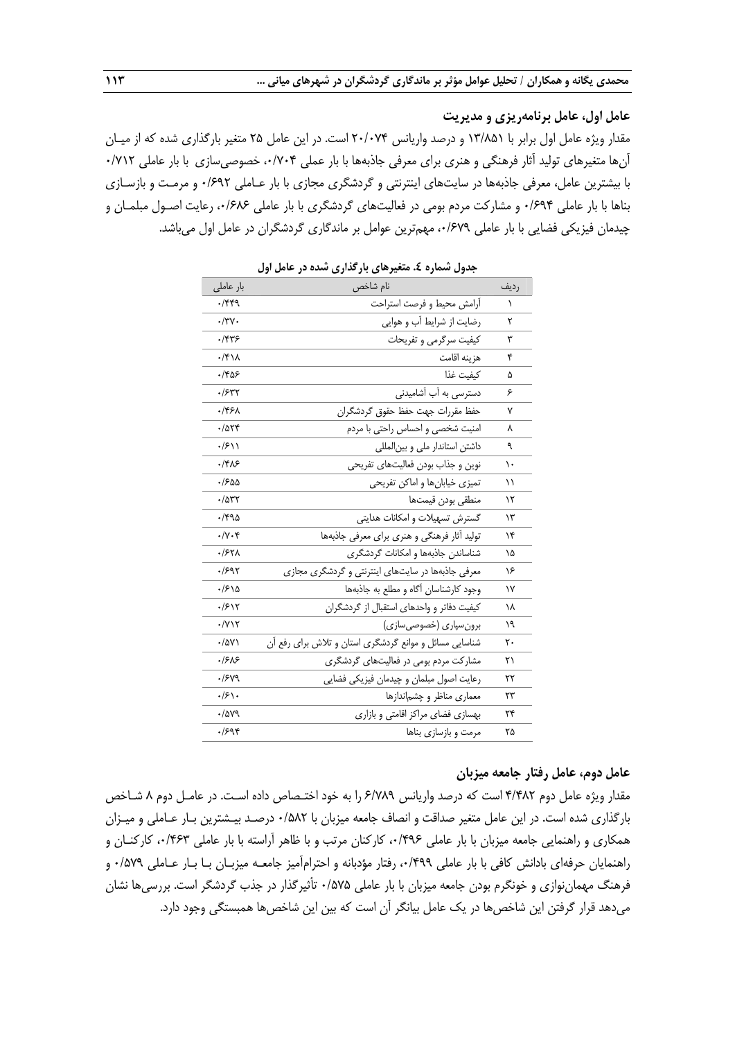# **عامل اول، عامل برنامهريزي و مديريت**

مقدار ويژه عامل اول برابر با 13/851 و درصد واريانس 20/074 است. در اين عامل 25 متغير بارگذاري شده كه از ميـان آنها متغيرهاي توليد آثار فرهنگي و هنري براي معرفي جاذبهها با بار عملي ،0/704 خصوصيسازي با بار عاملي 0/712 با بيشترين عامل، معرفي جاذبهها در سايتهاي اينترنتي و گردشگري مجازي با بار عـاملي 0/692 و مرمـت و بازسـازي بناها با بار عاملي 0/694 و مشاركت مردم بومي در فعاليتهاي گردشگري با بار عاملي ،0/686 رعايت اصـول مبلمـان و چيدمان فيزيكي فضايي با بار عاملي ،0/679 مهمترين عوامل بر ماندگاري گردشگران در عامل اول ميباشد.

| بار عاملی                                | <i>ین د</i> ی جو جوړ<br>نام شاخص                       | رديف |
|------------------------------------------|--------------------------------------------------------|------|
| ۰/۴۴۹                                    | آرامش محيط و فرصت استراحت                              | ١    |
| ۰/۳۷۰                                    | رضایت از شرایط آب و هوایی                              | ٢    |
| ۲۴۳۶.                                    | كيفيت سرگرمي و تفريحات                                 | ٣    |
| $\cdot$ /۴۱۸                             | هزينه اقامت                                            | ۴    |
| ۲۵۶.                                     | كىفىت غذا                                              | ۵    |
| ۰/۶۳۲                                    | دسترسی به آب آشامیدنی                                  | ۶    |
| ۰/۴۶۸                                    | حفظ مقررات جهت حفظ حقوق گردشگران                       | ٧    |
| $\cdot$ / $\Delta$ $\uparrow$ $\uparrow$ | امنیت شخصی و احساس راحتی با مردم                       | ٨    |
| ۱۱۶۰۱.                                   | داشتن استاندار ملی و بینالمللی                         | ٩    |
| ۱۴۸۶                                     | نوین و جذاب بودن فعالیتهای تفریحی                      | ١.   |
| ۵۵۹۰.                                    | تمیزی خیابانها و اماکن تفریحی                          | ۱۱   |
| $\cdot$ /۵۳۲                             | منطقى بودن قيمتها                                      | ۱۲   |
| ۱۴۹۵.                                    | گسترش تسهیلات و امکانات هدایتی                         | ۱۳   |
| $\cdot/\gamma \cdot f$                   | تولید آثار فرهنگی و هنری برای معرفی جاذبهها            | ۱۴   |
| ۰/۶۲۸                                    | شناساندن جاذبهها و امکانات گردشگری                     | ۱۵   |
| ۰/۶۹۲                                    | معرفی جاذبهها در سایتهای اینترنتی و گردشگری مجازی      | ۱۶   |
| .1510                                    | وجود کارشناسان آگاه و مطلع به جاذبهها                  | ۱۷   |
| .1817                                    | کیفیت دفاتر و واحدهای استقبال از گردشگران              | ۱۸   |
| $\cdot$ / $\gamma$                       | برونسپاری (خصوصیسازی)                                  | ۱۹   |
| $\cdot$ /۵۷۱                             | شناسایی مسائل و موانع گردشگری استان و تلاش برای رفع آن | ٢٠   |
| ۱۶۸۶                                     | مشارکت مردم بومی در فعالیتهای گردشگری                  | ۲۱   |
| /۶۷۹                                     | رعايت اصول مبلمان و چيدمان فيزيكي فضايي                | ۲۲   |
| .8                                       | معماری مناظر و چشم ندازها                              | ۲۳   |
| ./av9                                    | بهسازی فضای مراکز اقامتی و بازاری                      | ۲۴   |
| ۰/۶۹۴                                    | مرمت و بازسازی بناها                                   | ۲۵   |

**جدول شماره .4 متغيرهاي بارگذاري شده در عامل اول** 

#### **عامل دوم، عامل رفتار جامعه ميزبان**

مقدار ويژه عامل دوم 4/482 است كه درصد واريانس 6/789 را به خود اختـصاص داده اسـت. در عامـل دوم 8 شـاخص بارگذاري شده است. در اين عامل متغير صداقت و انصاف جامعه ميزبان با 0/582 درصـد بيـشترين بـار عـاملي و ميـزان همكاري و راهنمايي جامعه ميزبان با بار عاملي ،0/496 كاركنان مرتب و با ظاهر آراسته با بار عاملي ،0/463 كاركنـان و راهنمايان حرفهاي بادانش كافي با بار عاملي ،0/499 رفتار مؤدبانه و احترامآميز جامعـه ميزبـان بـا بـار عـاملي 0/579 و فرهنگ مهماننوازي و خونگرم بودن جامعه ميزبان با بار عاملي 0/575 تأثيرگذار در جذب گردشگر است. بررسيها نشان ميدهد قرار گرفتن اين شاخصها در يك عامل بيانگر آن است كه بين اين شاخصها همبستگي وجود دارد.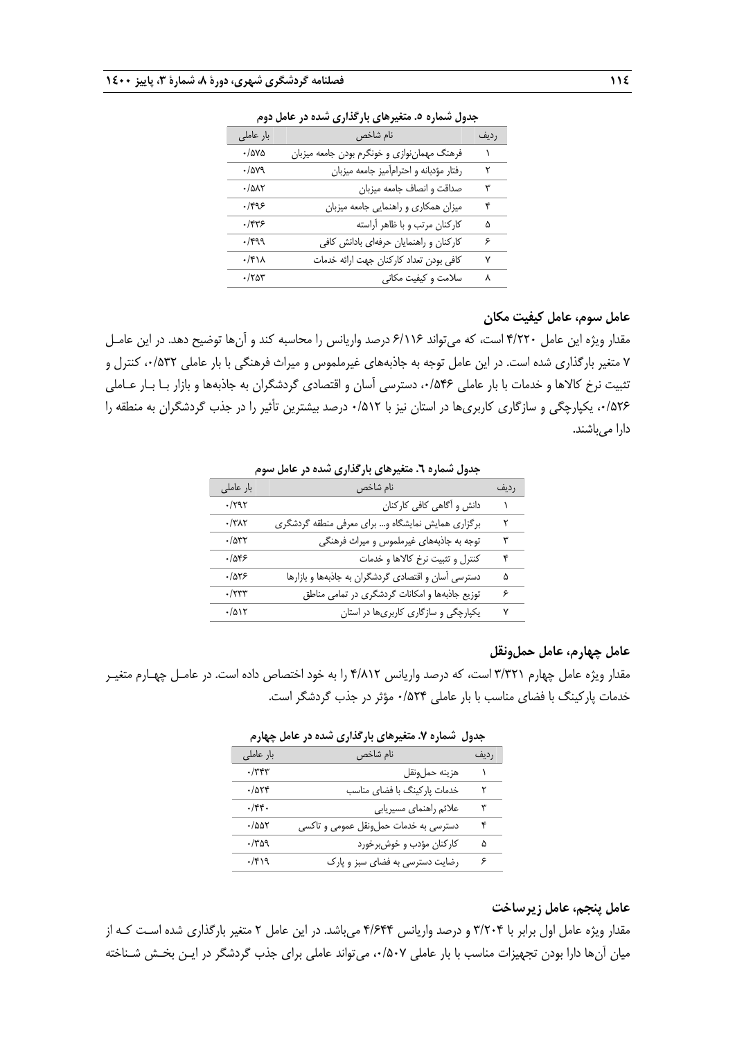| بار عاملی    | نام شاخص                                    | رديف |
|--------------|---------------------------------------------|------|
| $\cdot$ /۵۷۵ | فرهنگ مهماننوازي و خونگرم بودن جامعه ميزبان |      |
| ./av9        | رفتار مؤدبانه واحترامأميز جامعه ميزبان      | ٢    |
| $\cdot$ /۵۸۲ | صداقت و انصاف جامعه ميزبان                  | ٣    |
| .1999        | میزان همکاری و راهنمایی جامعه میزبان        | ۴    |
| ۱۴۳۶.        | كاركنان مرتب و با ظاهر أراسته               | ۵    |
| $\cdot$ /۴۹۹ | كاركنان وراهنمايان حرفهاى بادانش كافى       | ۶    |
| ۰/۴۱۸        | كافي بودن تعداد كاركنان جهت ارائه خدمات     | ۷    |
| $\cdot$ /۲۵۳ | سلامت و کیفیت مکانی                         | ٨    |
|              |                                             |      |

**جدول شماره .5 متغيرهاي بارگذاري شده در عامل دوم** 

# **عامل سوم، عامل كيفيت مكان**

مقدار ويژه اين عامل 4/220 است، كه ميتواند 6/116 درصد واريانس را محاسبه كند و آنها توضيح دهد. در اين عامـل 7 متغير بارگذاري شده است. در اين عامل توجه به جاذبههاي غيرملموس و ميراث فرهنگي با بار عاملي ،0/532 كنترل و تثبيت نرخ كالاها و خدمات با بار عاملي ،0/546 دسترسي آسان و اقتصادي گردشگران به جاذبهها و بازار بـا بـار عـاملي ،0/526 يكپارچگي و سازگاري كاربريها در استان نيز با 0/512 درصد بيشترين تأثير را در جذب گردشگران به منطقه را دارا مي باشند.

| بار عاملي             | نام شاخص                                            | رديف |
|-----------------------|-----------------------------------------------------|------|
| $\cdot$ /٢٩٢          | دانش و أگاهي كافي كاركنان                           |      |
| $\cdot$ /٣ $\wedge$ ٢ | برگزاری همایش نمایشگاه و… برای معرفی منطقه گردشگری  | ٢    |
| $\cdot$ /۵۳۲          | توجه به جاذبههای غیرملموس و میراث فرهنگی            | ٣    |
| .785                  | كنترل و تثبيت نرخ كالاها و خدمات                    | ۴    |
| .7875                 | دسترسی آسان و اقتصادی گردشگران به جاذبهها و بازارها | ۵    |
| $\cdot$ /۲۳۳          | توزیع جاذبهها و امکانات گردشگری در تمامی مناطق      | ۶    |
| $\cdot/\Delta$        | یکپارچگی و سازگاری کاربریها در استان                | ٧    |

**جدول شماره .6 متغيرهاي بارگذاري شده در عامل سوم**

#### **عامل چهارم، عامل حملونقل**

مقدار ويژه عامل چهارم 3/321 است، كه درصد واريانس 4/812 را به خود اختصاص داده است. در عامـل چهـارم متغيـر خدمات پاركينگ با فضاي مناسب با بار عاملي 0/524 مؤثر در جذب گردشگر است.

| بار عاملي    | نام شاخص                              | رديف |
|--------------|---------------------------------------|------|
| $\cdot$ /٣۴٣ | هزينه حملونقل                         |      |
| .7054        | خدمات پارکینگ با فضای مناسب           | ۲    |
| .75.         | علائم راهنماي مسيريابي                | ٣    |
| $\cdot$ /۵۵۲ | دسترسی به خدمات حملونقل عمومی و تاکسی | ۴    |
| $\cdot$ /۳۵۹ | كاركنان مؤدب و خوشبرخورد              | ۵    |
| $\cdot$ /۴۱۹ | رضایت دسترسی به فضای سبز و پارک       | ۶    |

**جدول شماره .7 متغيرهاي بارگذاري شده در عامل چهارم**

**عامل پنجم، عامل زيرساخت** 

مقدار ويژه عامل اول برابر با 3/204 و درصد واريانس 4/644 ميباشد. در اين عامل 2 متغير بارگذاري شده اسـت كـه از ميان آنها دارا بودن تجهيزات مناسب با بار عاملي ٠/۵٠٧، مي تواند عاملي براي جذب گردشگر در ايـن بخـش شـناخته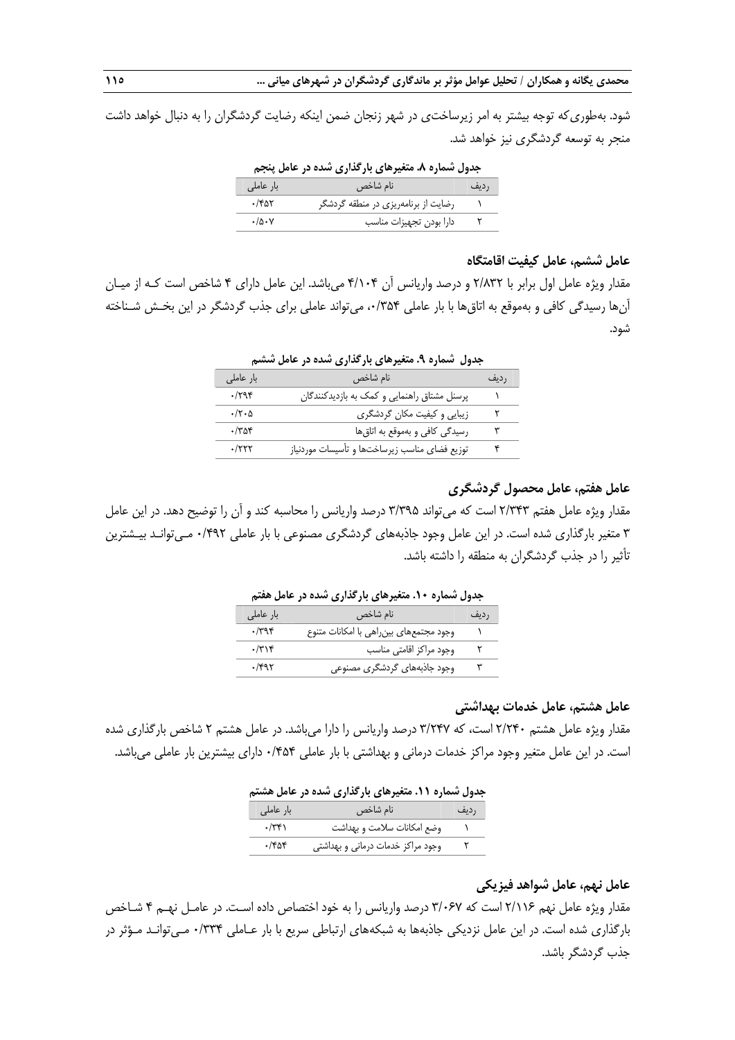شود. بهطوريكه توجه بيشتر به امر زيرساختي در شهر زنجان ضمن اينكه رضايت گردشگران را به دنبال خواهد داشت منجر به توسعه گردشگري نيز خواهد شد.

**جدول شماره .8 متغيرهاي بارگذاري شده در عامل پنجم** 

| بار عاملی | نام شاخص                            | رديف |
|-----------|-------------------------------------|------|
| ۱۴۵۲.     | رضایت از برنامهریزی در منطقه گردشگر |      |
| ۰/۵۰۷     | دارا بودن تجهيزات مناسب             |      |

# **عامل ششم، عامل كيفيت اقامتگاه**

مقدار ويژه عامل اول برابر با 2/832 و درصد واريانس آن 4/104 ميباشد. اين عامل داراي 4 شاخص است كـه از ميـان آنها رسيدگي كافي و بهموقع به اتاقها با بار عاملي ،0/354 ميتواند عاملي براي جذب گردشگر در اين بخـش شـناخته شود.

| بار عاملی                 | نام شاخص                                      | رديف |
|---------------------------|-----------------------------------------------|------|
| .798                      | پرسنل مشتاق راهنمایی و کمک به بازدیدکنندگان   |      |
| $\cdot/\tau \cdot \Delta$ | زیبایی و کیفیت مکان گردشگری                   | ۲    |
| $\cdot$ /۳۵۴              | رسیدگی کافی و بهموقع به اتاق ها               | ٣    |
| .7777                     | توزیع فضای مناسب زیرساختها و تأسیسات موردنیاز | ۴    |
|                           |                                               |      |

**جدول شماره .9 متغيرهاي بارگذاري شده در عامل ششم** 

# **عامل هفتم، عامل محصول گردشگري**

مقدار ويژه عامل هفتم 2/343 است كه ميتواند 3/395 درصد واريانس را محاسبه كند و آن را توضيح دهد. در اين عامل 3 متغير بارگذاري شده است. در اين عامل وجود جاذبههاي گردشگري مصنوعي با بار عاملي 0/492 مـيتوانـد بيـشترين تأثير را در جذب گردشگران به منطقه را داشته باشد.

| جدون شماره ۰۰۰ سنگیرهای باز <i>تداری شده د</i> ر حامل معنی |                                         |      |
|------------------------------------------------------------|-----------------------------------------|------|
| بار عاملی                                                  | نام شاخص                                | رديف |
| $\cdot$ /۳۹۴                                               | وجود مجتمعهاى بين راهى با امكانات متنوع |      |
| $\cdot$ /٣١۴                                               | وجود مراكز اقامتى مناسب                 |      |
| $\cdot$ /۴۹۲                                               | وجود جاذبههای گردشگری مصنوعی            |      |

**جدول شماره .10 متغيرهاي بارگذاري شده در عامل هفتم** 

#### **عامل هشتم، عامل خدمات بهداشتي**

مقدار ويژه عامل هشتم 2/240 است، كه 3/247 درصد واريانس را دارا ميباشد. در عامل هشتم 2 شاخص بارگذاري شده است. در اين عامل متغير وجود مراكز خدمات درماني و بهداشتي با بار عاملي 0/454 داراي بيشترين بار عاملي ميباشد.

| جدول شماره ۱۱. متغیرهای بارگذاری شده در عامل هشتم |              |                                  |      |
|---------------------------------------------------|--------------|----------------------------------|------|
|                                                   | بار عاملی    | نام شاخص                         | رديف |
|                                                   | $\cdot$ /۳۴۱ | وضع امكانات سلامت و بهداشت       |      |
|                                                   | $\cdot$ /۴۵۴ | وجود مراكز خدمات درمانى وبهداشتى |      |

# **عامل نهم، عامل شواهد فيزيكي**

مقدار ويژه عامل نهم 2/116 است كه 3/067 درصد واريانس را به خود اختصاص داده اسـت. در عامـل نهـم 4 شـاخص بارگذاري شده است. در اين عامل نزديكي جاذبهها به شبكههاي ارتباطي سريع با بار عـاملي 0/334 مـيتوانـد مـؤثر در جذب گردشگر باشد.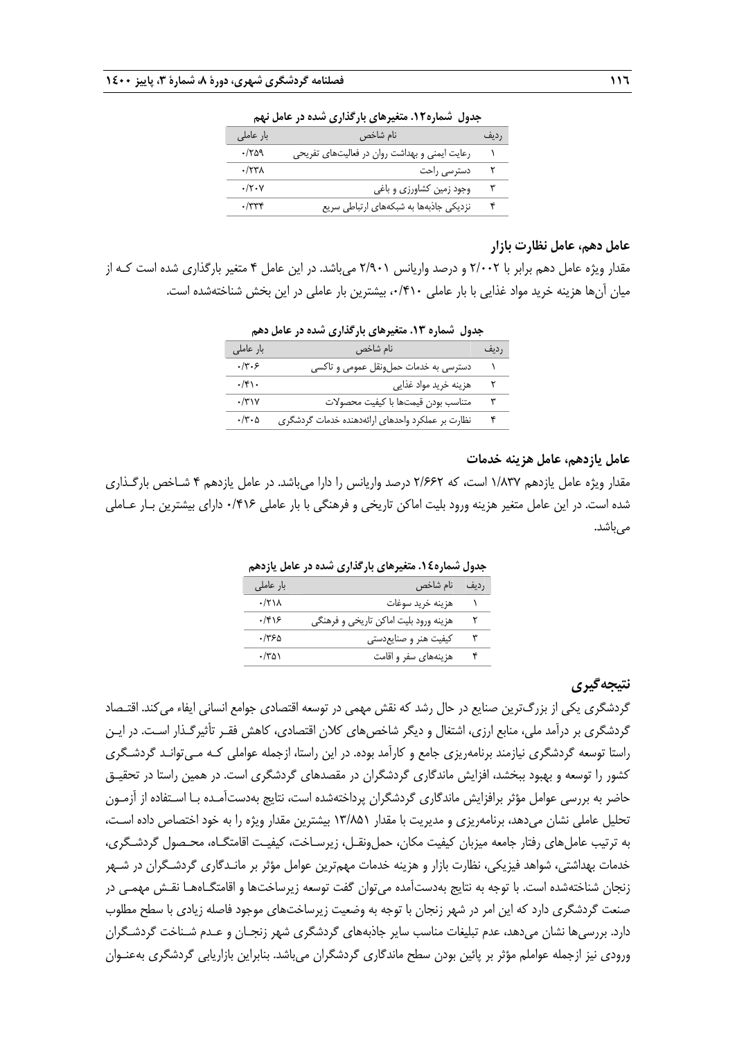| بعون للسرع المتعير عابي بالمستردي بمنعة عراضتن تنهي |                                               |      |
|-----------------------------------------------------|-----------------------------------------------|------|
| بار عاملی                                           | نام شاخص                                      | رديف |
| $\cdot$ /۲۵۹                                        | رعایت ایمنی و بهداشت روان در فعالیتهای تفریحی |      |
| $\cdot$ /٢٣٨                                        | دسترسى راحت                                   |      |
| $\cdot/\tau \cdot \gamma$                           | وجود زمین کشاورزی و باغی                      | ٣    |
| $\cdot$ /۳۳۴                                        | نزدیکی جاذبهها به شبکههای ارتباطی سریع        |      |

**جدول شماره.12 متغيرهاي بارگذاري شده در عامل نهم** 

#### **عامل دهم، عامل نظارت بازار**

مقدار ويژه عامل دهم برابر با 2/002 و درصد واريانس 2/901 ميباشد. در اين عامل 4 متغير بارگذاري شده است كـه از ميان آنها هزينه خريد مواد غذايي با بار عاملي ،0/410 بيشترين بار عاملي در اين بخش شناختهشده است.

| جدول شماره ۱۳. متغیرهای بارگذاری شده در عامل دهم |                                                  |      |  |
|--------------------------------------------------|--------------------------------------------------|------|--|
| بار عاملی                                        | نام شاخص                                         | رديف |  |
| .77.5                                            | دسترسی به خدمات حملونقل عمومی و تاکسی            |      |  |
| $\cdot$ /۴۱.                                     | هزينه خريد مواد غذايي                            | ٢    |  |
| $\cdot$ /٣١٧                                     | متناسب بودن قيمتها با كيفيت محصولات              | ٣    |  |
| $\cdot$ /۳ $\cdot$ ۵                             | نظارت بر عملكرد واحدهاى ارائهدهنده خدمات گردشگرى |      |  |

#### **عامل يازدهم، عامل هزينه خدمات**

مقدار ويژه عامل يازدهم 1/837 است، كه 2/662 درصد واريانس را دارا ميباشد. در عامل يازدهم 4 شـاخص بارگـذاري شده است. در اين عامل متغير هزينه ورود بليت اماكن تاريخي و فرهنگي با بار عاملي 0/416 داراي بيشترين بـار عـاملي مي باشد.

**جدول شماره.14 متغيرهاي بارگذاري شده در عامل يازدهم** 

| $\cdot$ /۲۱۸<br>هزينه خريد سوغات<br>.798<br>هزینه ورود بلیت اماکن تاریخی و فرهنگی<br>۳۶۵.<br>کیفیت هنر و صنایعدستی<br>۰/۳۵۱<br>هزینهها <i>ی</i> سفر و اقامت | بار عاملی ِ | رديف نام شاخص |  |
|-------------------------------------------------------------------------------------------------------------------------------------------------------------|-------------|---------------|--|
|                                                                                                                                                             |             |               |  |
|                                                                                                                                                             |             |               |  |
|                                                                                                                                                             |             |               |  |
|                                                                                                                                                             |             |               |  |

# **نتيجهگيري**

گردشگري يكي از بزرگترين صنايع در حال رشد كه نقش مهمي در توسعه اقتصادي جوامع انساني ايفاء ميكند. اقتـصاد گردشگري بر درآمد ملي، منابع ارزي، اشتغال و ديگر شاخصهاي كلان اقتصادي، كاهش فقـر تأثيرگـذار اسـت. در ايـن راستا توسعه گردشگري نيازمند برنامهريزي جامع و كارآمد بوده. در اين راستا، ازجمله عواملي كـه مـيتوانـد گردشـگري كشور را توسعه و بهبود ببخشد، افزايش ماندگاري گردشگران در مقصدهاي گردشگري است. در همين راستا در تحقيـق حاضر به بررسي عوامل مؤثر برافزايش ماندگاري گردشگران پرداختهشده است، نتايج بهدستآمـده بـا اسـتفاده از آزمـون تحليل عاملي نشان ميدهد، برنامهريزي و مديريت با مقدار 13/851 بيشترين مقدار ويژه را به خود اختصاص داده اسـت ، به ترتيب عاملهاي رفتار جامعه ميزبان كيفيت مكان، حملونقـل، زيرسـاخت، كيفيـت اقامتگـاه، محـصول گردشـگري، خدمات بهداشتي، شواهد فيزيكي، نظارت بازار و هزينه خدمات مهمترين عوامل مؤثر بر مانـدگاري گردشـگران در شـهر زنجان شناختهشده است. با توجه به نتايج بهدستآمده ميتوان گفت توسعه زيرساختها و اقامتگـاههـا نقـش مهمـي در صنعت گردشگري دارد كه اين امر در شهر زنجان با توجه به وضعيت زيرساختهاي موجود فاصله زيادي با سطح مطلوب دارد. بررسيها نشان ميدهد، عدم تبليغات مناسب ساير جاذبههاي گردشگري شهر زنجـان و عـدم شـناخت گردشـگران ورودي نيز ازجمله عواملم مؤثر بر پائين بودن سطح ماندگاري گردشگران مي باشد. بنابراين بازاريابي گردشگري بهعنـوان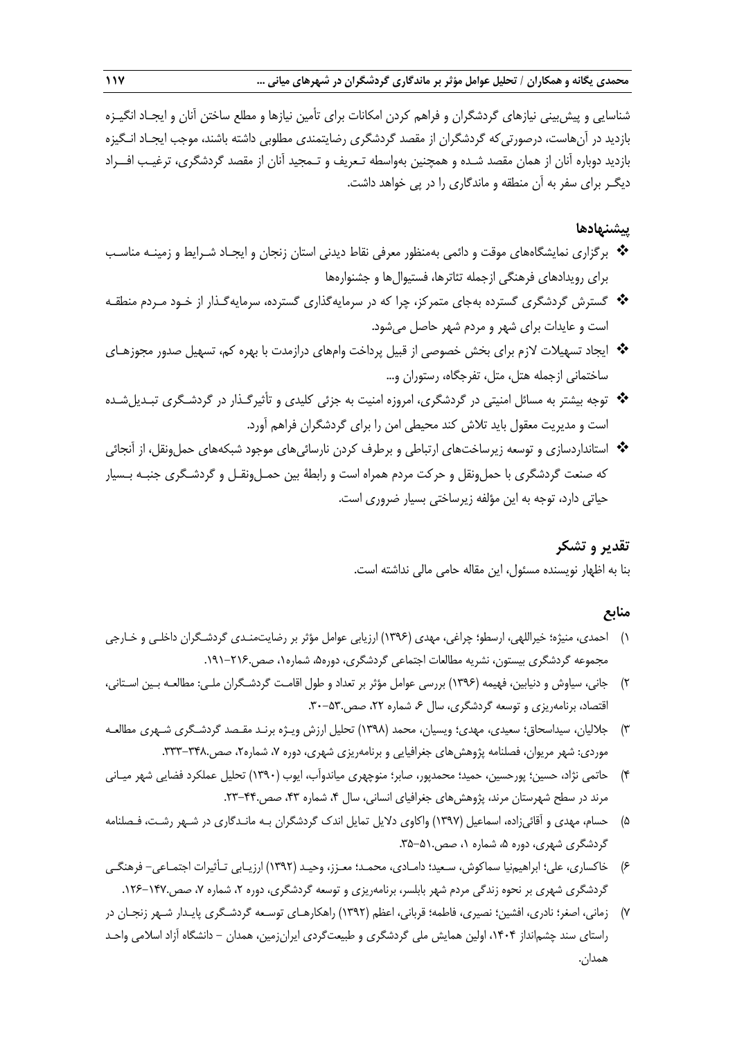شناسايي و پيشبيني نيازهاي گردشگران و فراهم كردن امكانات براي تأمين نيازها و مطلع ساختن آنان و ايجـاد انگيـزه بازديد در آنهاست، درصورتيكه گردشگران از مقصد گردشگري رضايتمندي مطلوبي داشته باشند، موجب ايجـاد انـگيزه بازديد دوباره آنان از همان مقصد شـده و همچنين بهواسطه تـعريف و تـمجيد آنان از مقصد گردشگري، ترغيـب افــراد ديگـر براي سفر به آن منطقه و ماندگاري را در پي خواهد داشت.

# **پيشنهادها**

- برگزاري نمايشگاههاي موقت و دائمي بهمنظور معرفي نقاط ديدني استان زنجان و ايجـاد شـرايط و زمينـه مناسـب براي رويدادهاي فرهنگي ازجمله تئاترها، فستيوالها و جشنوارهها
- گسترش گردشگري گسترده بهجاي متمركز، چرا كه در سرمايهگذاري گسترده، سرمايهگـذار از خـود مـردم منطقـه است و عايدات براي شهر و مردم شهر حاصل ميشود.
- ايجاد تسهيلات لازم براي بخش خصوصي از قبيل پرداخت وام هاي درازمدت با بهره كم، تسهيل صدور مجوزهـاي ساختماني ازجمله هتل، متل، تفرجگاه، رستوران و...
- توجه بيشتر به مسائل امنيتي در گردشگري، امروزه امنيت به جزئي كليدي و تأثيرگـذار در گردشـگري تبـديل شـده است و مديريت معقول بايد تلاش كند محيطي امن را براي گردشگران فراهم آورد.
- استانداردسازي و توسعه زيرساختهاي ارتباطي و برطرف كردن نارسائيهاي موجود شبكههاي حملونقل، از آنجائي كه صنعت گردشگري با حمل ونقل و حركت مردم همراه است و رابطهٔ بين حمـل ونقـل و گردشـگري جنبـه بـسيار حياتي دارد، توجه به اين مؤلفه زيرساختي بسيار ضروري است.

# **تقدير و تشكر**

بنا به اظهار نويسنده مسئول، اين مقاله حامي مالي نداشته است.

# **منابع**

- 1) احمدي، منيژه؛ خيراللهي، ارسطو؛ چراغي، مهدي (1396) ارزيابي عوامل مؤثر بر رضايتمنـدي گردشـگران داخلـي و خـارجي مجموعه گردشگري بيستون، نشريه مطالعات اجتماعي گردشگري، دوره،5 شماره،1 صص.191-216.
- 2) جاني، سياوش و دنيابين، فهيمه (1396) بررسي عوامل مؤثر بر تعداد و طول اقامـت گردشـگران ملـي: مطالعـه بـين اسـتاني، اقتصاد، برنامهريزي و توسعه گردشگري، سال ۶، شماره ۲۲، صص.۵۳-۳۰.
- 3) جلاليان، سيداسحاق؛ سعيدي، مهدي؛ ويسيان، محمد (1398) تحليل ارزش ويـژه برنـد مقـصد گردشـگري شـهري مطالعـه موردي: شهر مريوان، فصلنامه پژوهشهاي جغرافيايي و برنامهريزي شهري، دوره ۷، شماره۲، صص.٣٣٨-٣٣٣.
- 4) حاتمي نژاد، حسين؛ پورحسين، حميد؛ محمدپور، صابر؛ منوچهري مياندوآب، ايوب (1390) تحليل عملكرد فضايي شهر ميـاني مرند در سطح شهرستان مرند، پژوهشهاي جغرافياي انساني، سال ۴، شماره ۴۳، صص.۴۴-۲۳.
- 5) حسام، مهدي و آقائيزاده، اسماعيل (1397) واكاوي دلايل تمايل اندك گردشگران بـه مانـدگاري در شـهر رشـت، فـصلنامه گردشگري شهري، دوره ۵، شماره ۱، صص.۵۱-۳۵.
- 6) خاكساري، علي؛ ابراهيمنيا سماكوش، سـعيد؛ دامـادي، محمـد؛ معـزز، وحيـد (1392) ارزيـابي تـأثيرات اجتمـاعي- فرهنگـي گردشگري شهري بر نحوه زندگي مردم شهر بابلسر، برنامهريزي و توسعه گردشگري، دوره ۲، شماره ۷، صص.۱۴۷–۱۲۶.
- 7) زماني، اصغر؛ نادري، افشين؛ نصيري، فاطمه؛ قرباني، اعظم (1392) راهكارهـاي توسـعه گردشـگري پايـدار شـهر زنجـان در راستاي سند چشمانداز ،1404 اولين همايش ملي گردشگري و طبيعتگردي ايرانزمين، همدان - دانشگاه آزاد اسلامي واحـد همدان.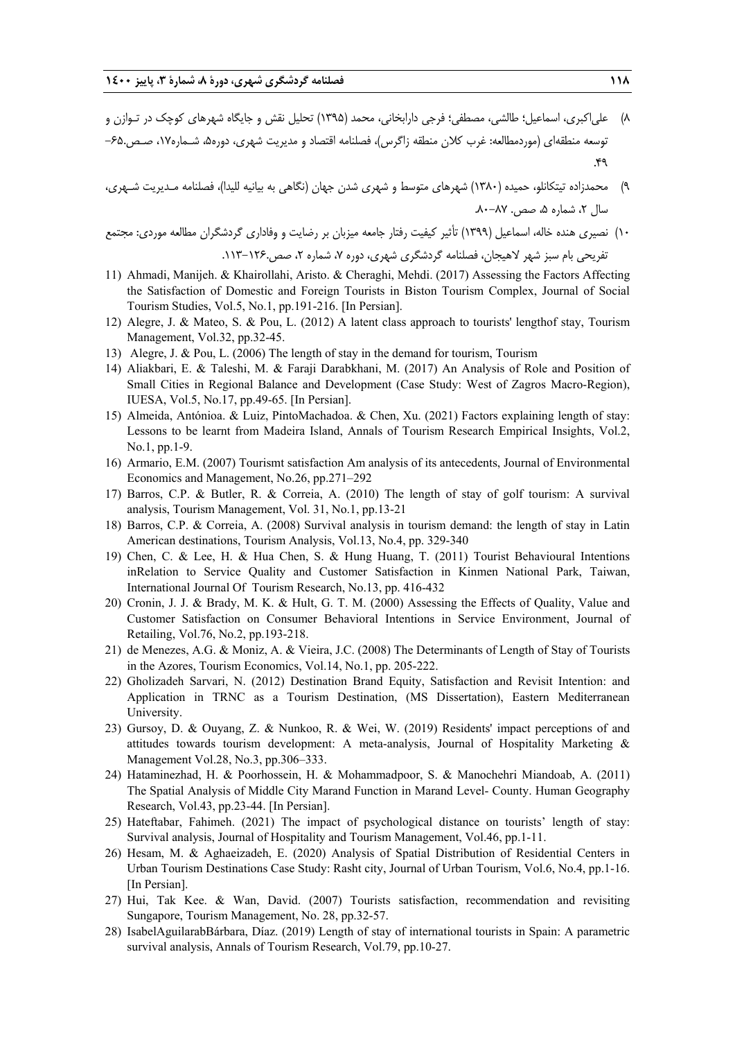- 8) علياكبري، اسماعيل؛ طالشي، مصطفي؛ فرجي دارابخاني، محمد (1395) تحليل نقش و جايگاه شهرهاي كوچك در تـوازن و توسعه منطقهاي (موردمطالعه: غرب كلان منطقه زاگرس)، فصلنامه اقتصاد و مديريت شهري، دوره۵، شـماره۱۷، صـص.۶۵-.49
- 9) محمدزاده تيتكانلو، حميده (1380) شهرهاي متوسط و شهري شدن جهان (نگاهي به بيانيه لليدا)، فصلنامه مـديريت شـهري،  $\lambda$ سال ۲، شماره ۵، صص. ۸۷–۸۰

10) نصيري هنده خاله، اسماعيل (1399) تأثير كيفيت رفتار جامعه ميزبان بر رضايت و وفاداري گردشگران مطالعه موردي: مجتمع تفريحي بام سبز شهر لاهيجان، فصلنامه گردشگري شهري، دوره ۷، شماره ۲، صص.۱۲۶-۱۱۳.

- 11) Ahmadi, Manijeh. & Khairollahi, Aristo. & Cheraghi, Mehdi. (2017) Assessing the Factors Affecting the Satisfaction of Domestic and Foreign Tourists in Biston Tourism Complex, Journal of Social Tourism Studies, Vol.5, No.1, pp.191-216. [In Persian].
- 12) Alegre, J. & Mateo, S. & Pou, L. (2012) A latent class approach to tourists' lengthof stay, Tourism Management, Vol.32, pp.32-45.
- 13) Alegre, J. & Pou, L. (2006) The length of stay in the demand for tourism, Tourism
- 14) Aliakbari, E. & Taleshi, M. & Faraji Darabkhani, M. (2017) An Analysis of Role and Position of Small Cities in Regional Balance and Development (Case Study: West of Zagros Macro-Region), IUESA, Vol.5, No.17, pp.49-65. [In Persian].
- 15) Almeida, Antónioa. & Luiz, PintoMachadoa. & Chen, Xu. (2021) Factors explaining length of stay: Lessons to be learnt from Madeira Island, Annals of Tourism Research Empirical Insights, Vol.2, No.1, pp.1-9.
- 16) Armario, E.M. (2007) Tourismt satisfaction Am analysis of its antecedents, Journal of Environmental Economics and Management, No.26, pp.271–292
- 17) Barros, C.P. & Butler, R. & Correia, A. (2010) The length of stay of golf tourism: A survival analysis, Tourism Management, Vol. 31, No.1, pp.13-21
- 18) Barros, C.P. & Correia, A. (2008) Survival analysis in tourism demand: the length of stay in Latin American destinations, Tourism Analysis, Vol.13, No.4, pp. 329-340
- 19) Chen, C. & Lee, H. & Hua Chen, S. & Hung Huang, T. (2011) Tourist Behavioural Intentions inRelation to Service Quality and Customer Satisfaction in Kinmen National Park, Taiwan, International Journal Of Tourism Research, No.13, pp. 416-432
- 20) Cronin, J. J. & Brady, M. K. & Hult, G. T. M. (2000) Assessing the Effects of Quality, Value and Customer Satisfaction on Consumer Behavioral Intentions in Service Environment, Journal of Retailing, Vol.76, No.2, pp.193-218.
- 21) de Menezes, A.G. & Moniz, A. & Vieira, J.C. (2008) The Determinants of Length of Stay of Tourists in the Azores, Tourism Economics, Vol.14, No.1, pp. 205-222.
- 22) Gholizadeh Sarvari, N. (2012) Destination Brand Equity, Satisfaction and Revisit Intention: and Application in TRNC as a Tourism Destination, (MS Dissertation), Eastern Mediterranean University.
- 23) Gursoy, D. & Ouyang, Z. & Nunkoo, R. & Wei, W. (2019) Residents' impact perceptions of and attitudes towards tourism development: A meta-analysis, Journal of Hospitality Marketing & Management Vol.28, No.3, pp.306–333.
- 24) Hataminezhad, H. & Poorhossein, H. & Mohammadpoor, S. & Manochehri Miandoab, A. (2011) The Spatial Analysis of Middle City Marand Function in Marand Level- County. Human Geography Research, Vol.43, pp.23-44. [In Persian].
- 25) Hateftabar, Fahimeh. (2021) The impact of psychological distance on tourists' length of stay: Survival analysis, Journal of Hospitality and Tourism Management, Vol.46, pp.1-11.
- 26) Hesam, M. & Aghaeizadeh, E. (2020) Analysis of Spatial Distribution of Residential Centers in Urban Tourism Destinations Case Study: Rasht city, Journal of Urban Tourism, Vol.6, No.4, pp.1-16. [In Persian].
- 27) Hui, Tak Kee. & Wan, David. (2007) Tourists satisfaction, recommendation and revisiting Sungapore, Tourism Management, No. 28, pp.32-57.
- 28) IsabelAguilarabBárbara, Díaz. (2019) Length of stay of international tourists in Spain: A parametric survival analysis, Annals of Tourism Research, Vol.79, pp.10-27.